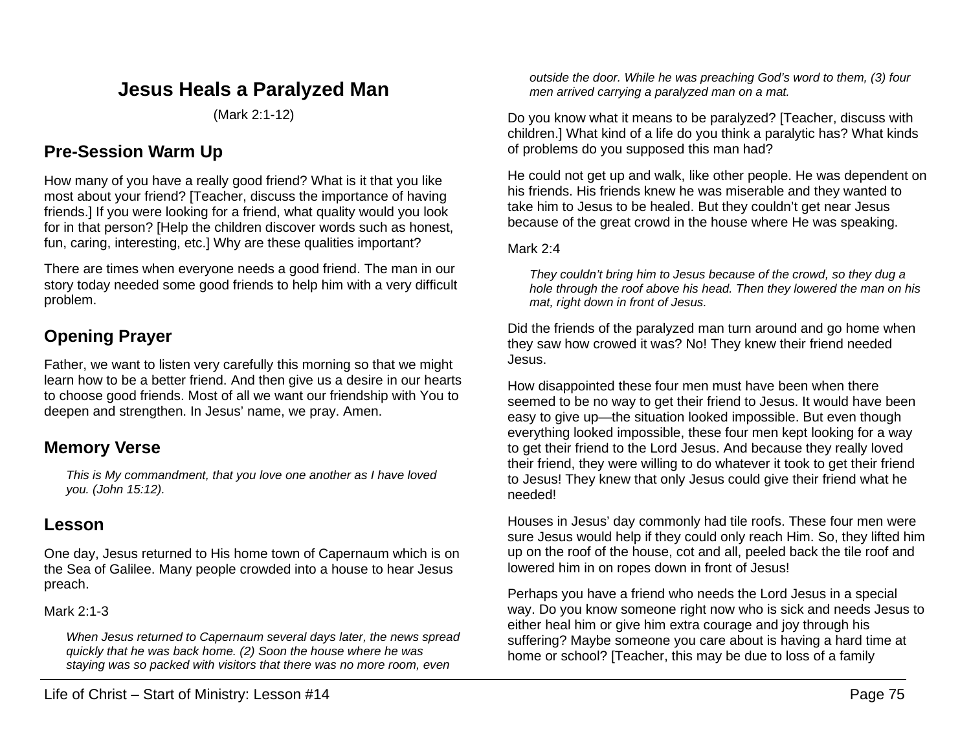# **Jesus Heals a Paralyzed Man**

(Mark 2:1-12)

## **Pre-Session Warm Up**

How many of you have a really good friend? What is it that you like most about your friend? [Teacher, discuss the importance of having friends.] If you were looking for a friend, what quality would you look for in that person? [Help the children discover words such as honest, fun, caring, interesting, etc.] Why are these qualities important?

There are times when everyone needs a good friend. The man in our story today needed some good friends to help him with a very difficult problem.

# **Opening Prayer**

Father, we want to listen very carefully this morning so that we might learn how to be a better friend. And then give us a desire in our hearts to choose good friends. Most of all we want our friendship with You to deepen and strengthen. In Jesus' name, we pray. Amen.

## **Memory Verse**

*This is My commandment, that you love one another as I have loved you. (John 15:12).*

## **Lesson**

One day, Jesus returned to His home town of Capernaum which is on the Sea of Galilee. Many people crowded into a house to hear Jesus preach.

#### Mark 2:1-3

*When Jesus returned to Capernaum several days later, the news spread quickly that he was back home. (2) Soon the house where he was staying was so packed with visitors that there was no more room, even* 

*outside the door. While he was preaching God's word to them, (3) four men arrived carrying a paralyzed man on a mat.*

Do you know what it means to be paralyzed? [Teacher, discuss with children.] What kind of a life do you think a paralytic has? What kinds of problems do you supposed this man had?

He could not get up and walk, like other people. He was dependent on his friends. His friends knew he was miserable and they wanted to take him to Jesus to be healed. But they couldn't get near Jesus because of the great crowd in the house where He was speaking.

#### Mark 2:4

*They couldn't bring him to Jesus because of the crowd, so they dug a hole through the roof above his head. Then they lowered the man on his mat, right down in front of Jesus.*

Did the friends of the paralyzed man turn around and go home when they saw how crowed it was? No! They knew their friend needed Jesus.

How disappointed these four men must have been when there seemed to be no way to get their friend to Jesus. It would have been easy to give up—the situation looked impossible. But even though everything looked impossible, these four men kept looking for a way to get their friend to the Lord Jesus. And because they really loved their friend, they were willing to do whatever it took to get their friend to Jesus! They knew that only Jesus could give their friend what he needed!

Houses in Jesus' day commonly had tile roofs. These four men were sure Jesus would help if they could only reach Him. So, they lifted him up on the roof of the house, cot and all, peeled back the tile roof and lowered him in on ropes down in front of Jesus!

Perhaps you have a friend who needs the Lord Jesus in a special way. Do you know someone right now who is sick and needs Jesus to either heal him or give him extra courage and joy through his suffering? Maybe someone you care about is having a hard time at home or school? [Teacher, this may be due to loss of a family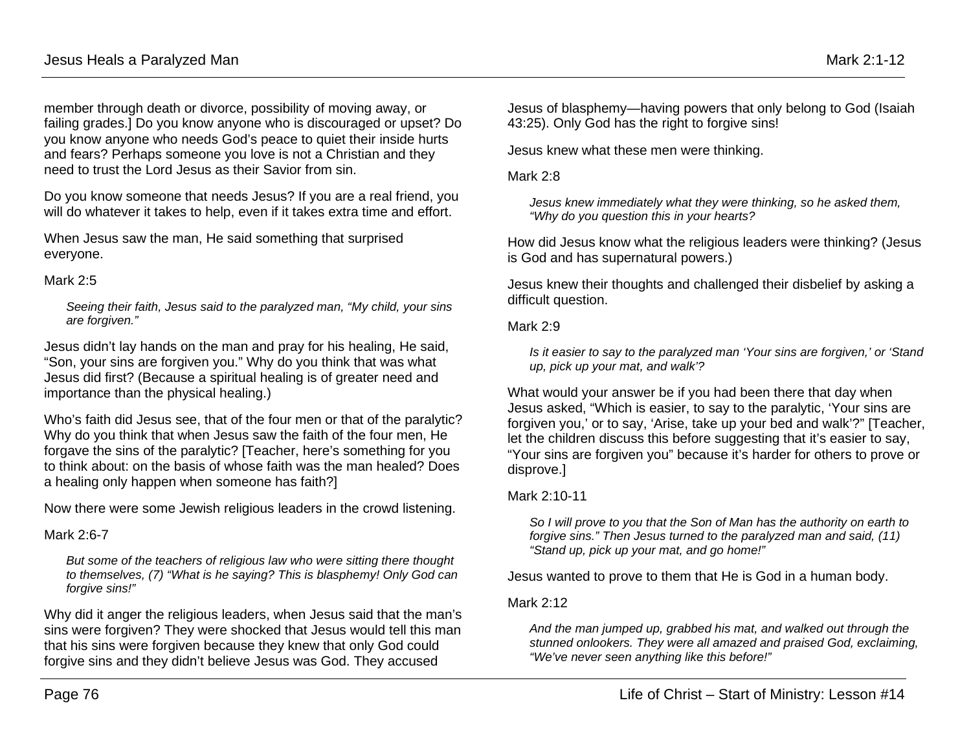member through death or divorce, possibility of moving away, or failing grades.] Do you know anyone who is discouraged or upset? Do you know anyone who needs God's peace to quiet their inside hurts and fears? Perhaps someone you love is not a Christian and they need to trust the Lord Jesus as their Savior from sin.

Do you know someone that needs Jesus? If you are a real friend, you will do whatever it takes to help, even if it takes extra time and effort.

When Jesus saw the man, He said something that surprised everyone.

#### Mark 2:5

*Seeing their faith, Jesus said to the paralyzed man, "My child, your sins are forgiven."*

Jesus didn't lay hands on the man and pray for his healing, He said, "Son, your sins are forgiven you." Why do you think that was what Jesus did first? (Because a spiritual healing is of greater need and importance than the physical healing.)

Who's faith did Jesus see, that of the four men or that of the paralytic? Why do you think that when Jesus saw the faith of the four men, He forgave the sins of the paralytic? [Teacher, here's something for you to think about: on the basis of whose faith was the man healed? Does a healing only happen when someone has faith?]

Now there were some Jewish religious leaders in the crowd listening.

Mark 2:6-7

*But some of the teachers of religious law who were sitting there thought to themselves, (7) "What is he saying? This is blasphemy! Only God can forgive sins!"*

Why did it anger the religious leaders, when Jesus said that the man's sins were forgiven? They were shocked that Jesus would tell this man that his sins were forgiven because they knew that only God could forgive sins and they didn't believe Jesus was God. They accused

Jesus of blasphemy—having powers that only belong to God (Isaiah 43:25). Only God has the right to forgive sins!

Jesus knew what these men were thinking.

Mark 2:8

*Jesus knew immediately what they were thinking, so he asked them, "Why do you question this in your hearts?*

How did Jesus know what the religious leaders were thinking? (Jesus is God and has supernatural powers.)

Jesus knew their thoughts and challenged their disbelief by asking a difficult question.

Mark 2:9

*Is it easier to say to the paralyzed man 'Your sins are forgiven,' or 'Stand up, pick up your mat, and walk'?*

What would your answer be if you had been there that day when Jesus asked, "Which is easier, to say to the paralytic, 'Your sins are forgiven you,' or to say, 'Arise, take up your bed and walk'?" [Teacher, let the children discuss this before suggesting that it's easier to say, "Your sins are forgiven you" because it's harder for others to prove or disprove.]

### Mark 2:10-11

*So I will prove to you that the Son of Man has the authority on earth to forgive sins." Then Jesus turned to the paralyzed man and said, (11) "Stand up, pick up your mat, and go home!"*

Jesus wanted to prove to them that He is God in a human body.

#### Mark 2:12

*And the man jumped up, grabbed his mat, and walked out through the stunned onlookers. They were all amazed and praised God, exclaiming, "We've never seen anything like this before!"*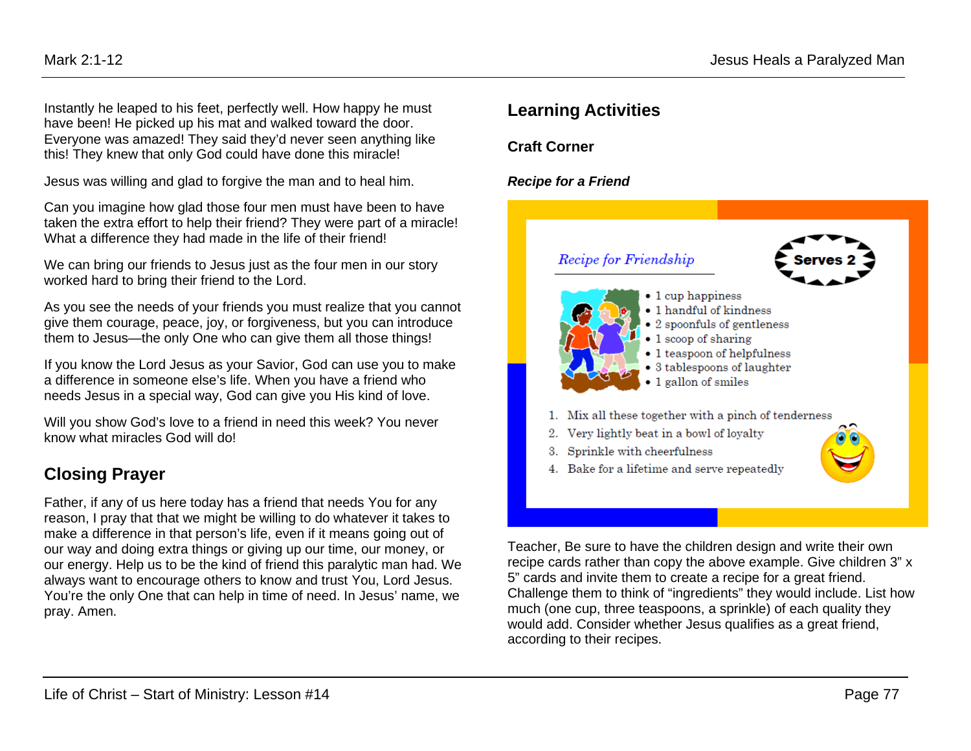Instantly he leaped to his feet, perfectly well. How happy he must have been! He picked up his mat and walked toward the door. Everyone was amazed! They said they'd never seen anything like this! They knew that only God could have done this miracle!

Jesus was willing and glad to forgive the man and to heal him.

Can you imagine how glad those four men must have been to have taken the extra effort to help their friend? They were part of a miracle! What a difference they had made in the life of their friend!

We can bring our friends to Jesus just as the four men in our story worked hard to bring their friend to the Lord.

As you see the needs of your friends you must realize that you cannot give them courage, peace, joy, or forgiveness, but you can introduce them to Jesus—the only One who can give them all those things!

If you know the Lord Jesus as your Savior, God can use you to make a difference in someone else's life. When you have a friend who needs Jesus in a special way, God can give you His kind of love.

Will you show God's love to a friend in need this week? You never know what miracles God will do!

# **Closing Prayer**

Father, if any of us here today has a friend that needs You for any reason, I pray that that we might be willing to do whatever it takes to make a difference in that person's life, even if it means going out of our way and doing extra things or giving up our time, our money, or our energy. Help us to be the kind of friend this paralytic man had. We always want to encourage others to know and trust You, Lord Jesus. You're the only One that can help in time of need. In Jesus' name, we pray. Amen.

# **Learning Activities**

**Craft Corner**

### *Recipe for a Friend*



Teacher, Be sure to have the children design and write their own recipe cards rather than copy the above example. Give children 3" x 5" cards and invite them to create a recipe for a great friend. Challenge them to think of "ingredients" they would include. List how much (one cup, three teaspoons, a sprinkle) of each quality they would add. Consider whether Jesus qualifies as a great friend, according to their recipes.